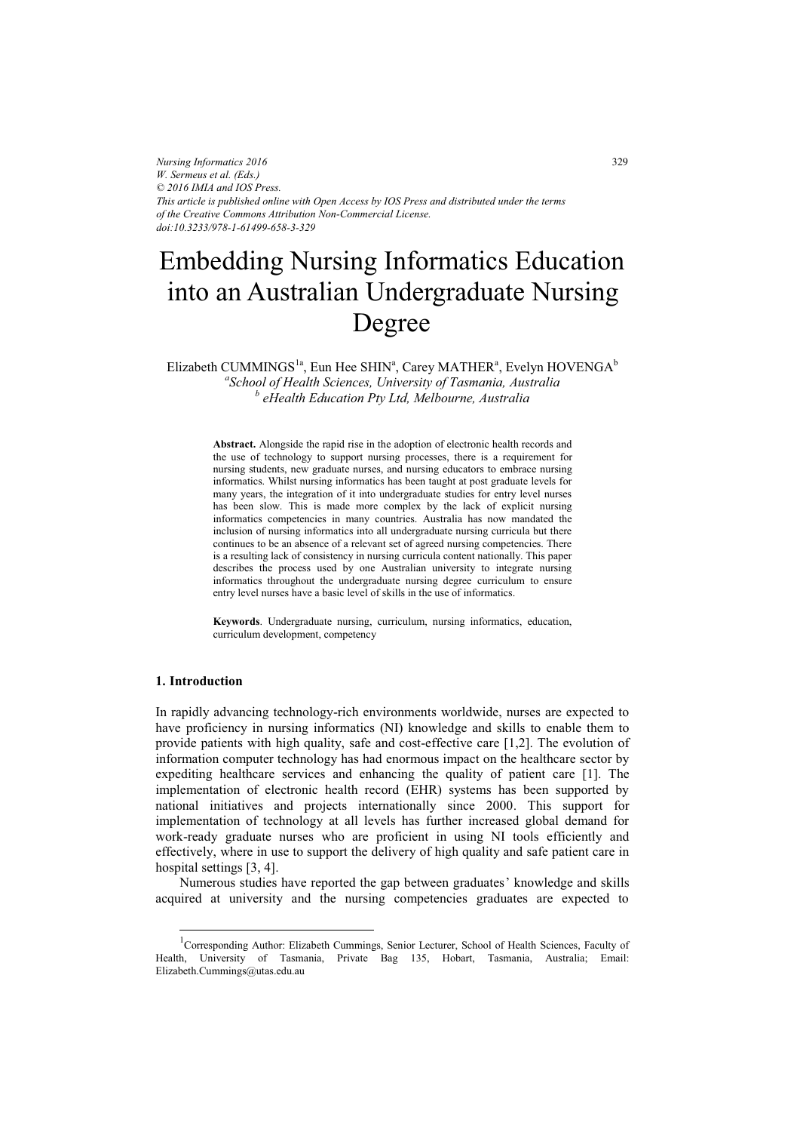*Nursing Informatics 2016 W. Sermeus et al. (Eds.) © 2016 IMIA and IOS Press. This article is published online with Open Access by IOS Press and distributed under the terms of the Creative Commons Attribution Non-Commercial License. doi:10.3233/978-1-61499-658-3-329*

# Embedding Nursing Informatics Education into an Australian Undergraduate Nursing Degree

Elizabeth CUMMINGS<sup>1a</sup>, Eun Hee SHIN<sup>a</sup>, Carey MATHER<sup>a</sup>, Evelyn HOVENGA<sup>b</sup> *a School of Health Sciences, University of Tasmania, Australia b eHealth Education Pty Ltd, Melbourne, Australia* 

**Abstract.** Alongside the rapid rise in the adoption of electronic health records and the use of technology to support nursing processes, there is a requirement for nursing students, new graduate nurses, and nursing educators to embrace nursing informatics. Whilst nursing informatics has been taught at post graduate levels for many years, the integration of it into undergraduate studies for entry level nurses has been slow. This is made more complex by the lack of explicit nursing informatics competencies in many countries. Australia has now mandated the inclusion of nursing informatics into all undergraduate nursing curricula but there continues to be an absence of a relevant set of agreed nursing competencies. There is a resulting lack of consistency in nursing curricula content nationally. This paper describes the process used by one Australian university to integrate nursing informatics throughout the undergraduate nursing degree curriculum to ensure entry level nurses have a basic level of skills in the use of informatics.

**Keywords**. Undergraduate nursing, curriculum, nursing informatics, education, curriculum development, competency

#### **1. Introduction**

-

In rapidly advancing technology-rich environments worldwide, nurses are expected to have proficiency in nursing informatics (NI) knowledge and skills to enable them to provide patients with high quality, safe and cost-effective care [1,2]. The evolution of information computer technology has had enormous impact on the healthcare sector by expediting healthcare services and enhancing the quality of patient care [1]. The implementation of electronic health record (EHR) systems has been supported by national initiatives and projects internationally since 2000. This support for implementation of technology at all levels has further increased global demand for work-ready graduate nurses who are proficient in using NI tools efficiently and effectively, where in use to support the delivery of high quality and safe patient care in hospital settings [3, 4].

Numerous studies have reported the gap between graduates' knowledge and skills acquired at university and the nursing competencies graduates are expected to

<sup>&</sup>lt;sup>1</sup>Corresponding Author: Elizabeth Cummings, Senior Lecturer, School of Health Sciences, Faculty of Health, University of Tasmania, Private Bag 135, Hobart, Tasmania, Australia; Email: Elizabeth.Cummings@utas.edu.au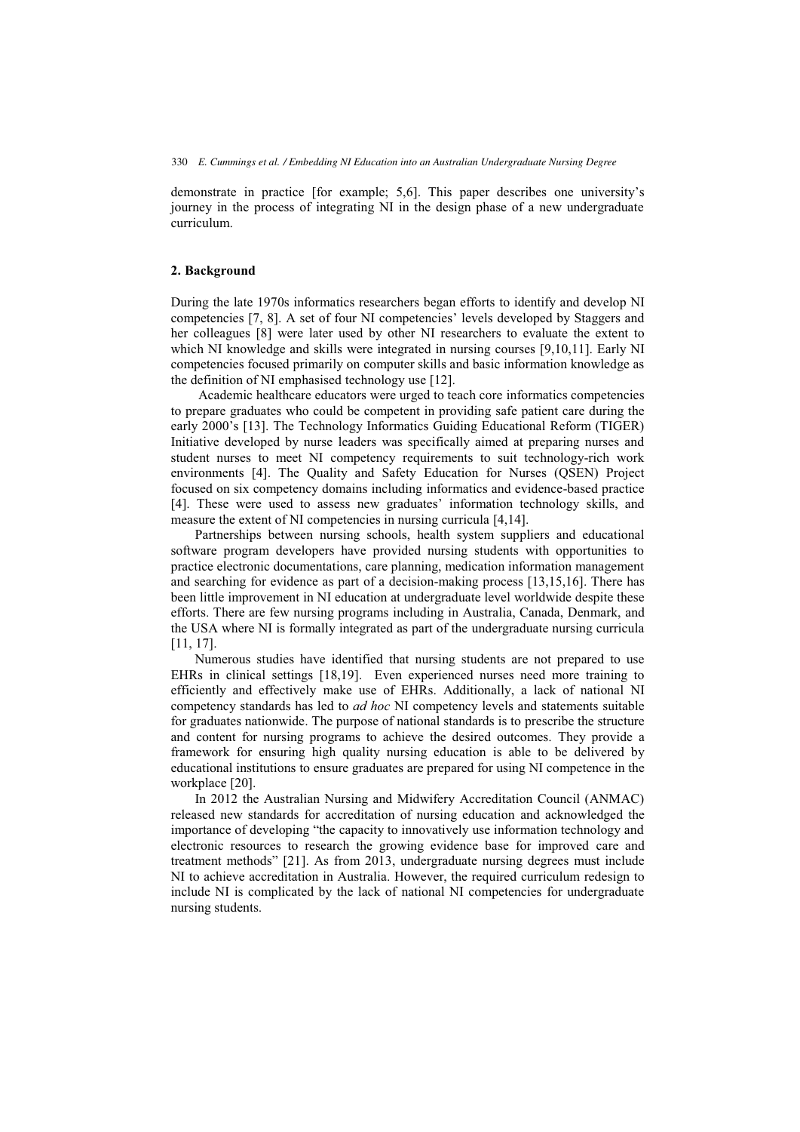demonstrate in practice [for example; 5,6]. This paper describes one university's journey in the process of integrating NI in the design phase of a new undergraduate curriculum.

### **2. Background**

During the late 1970s informatics researchers began efforts to identify and develop NI competencies [7, 8]. A set of four NI competencies' levels developed by Staggers and her colleagues [8] were later used by other NI researchers to evaluate the extent to which NI knowledge and skills were integrated in nursing courses [9,10,11]. Early NI competencies focused primarily on computer skills and basic information knowledge as the definition of NI emphasised technology use [12].

 Academic healthcare educators were urged to teach core informatics competencies to prepare graduates who could be competent in providing safe patient care during the early 2000's [13]. The Technology Informatics Guiding Educational Reform (TIGER) Initiative developed by nurse leaders was specifically aimed at preparing nurses and student nurses to meet NI competency requirements to suit technology-rich work environments [4]. The Quality and Safety Education for Nurses (QSEN) Project focused on six competency domains including informatics and evidence-based practice [4]. These were used to assess new graduates' information technology skills, and measure the extent of NI competencies in nursing curricula [4,14].

Partnerships between nursing schools, health system suppliers and educational software program developers have provided nursing students with opportunities to practice electronic documentations, care planning, medication information management and searching for evidence as part of a decision-making process [13,15,16]. There has been little improvement in NI education at undergraduate level worldwide despite these efforts. There are few nursing programs including in Australia, Canada, Denmark, and the USA where NI is formally integrated as part of the undergraduate nursing curricula [11, 17].

Numerous studies have identified that nursing students are not prepared to use EHRs in clinical settings [18,19]. Even experienced nurses need more training to efficiently and effectively make use of EHRs. Additionally, a lack of national NI competency standards has led to *ad hoc* NI competency levels and statements suitable for graduates nationwide. The purpose of national standards is to prescribe the structure and content for nursing programs to achieve the desired outcomes. They provide a framework for ensuring high quality nursing education is able to be delivered by educational institutions to ensure graduates are prepared for using NI competence in the workplace [20].

In 2012 the Australian Nursing and Midwifery Accreditation Council (ANMAC) released new standards for accreditation of nursing education and acknowledged the importance of developing "the capacity to innovatively use information technology and electronic resources to research the growing evidence base for improved care and treatment methods" [21]. As from 2013, undergraduate nursing degrees must include NI to achieve accreditation in Australia. However, the required curriculum redesign to include NI is complicated by the lack of national NI competencies for undergraduate nursing students.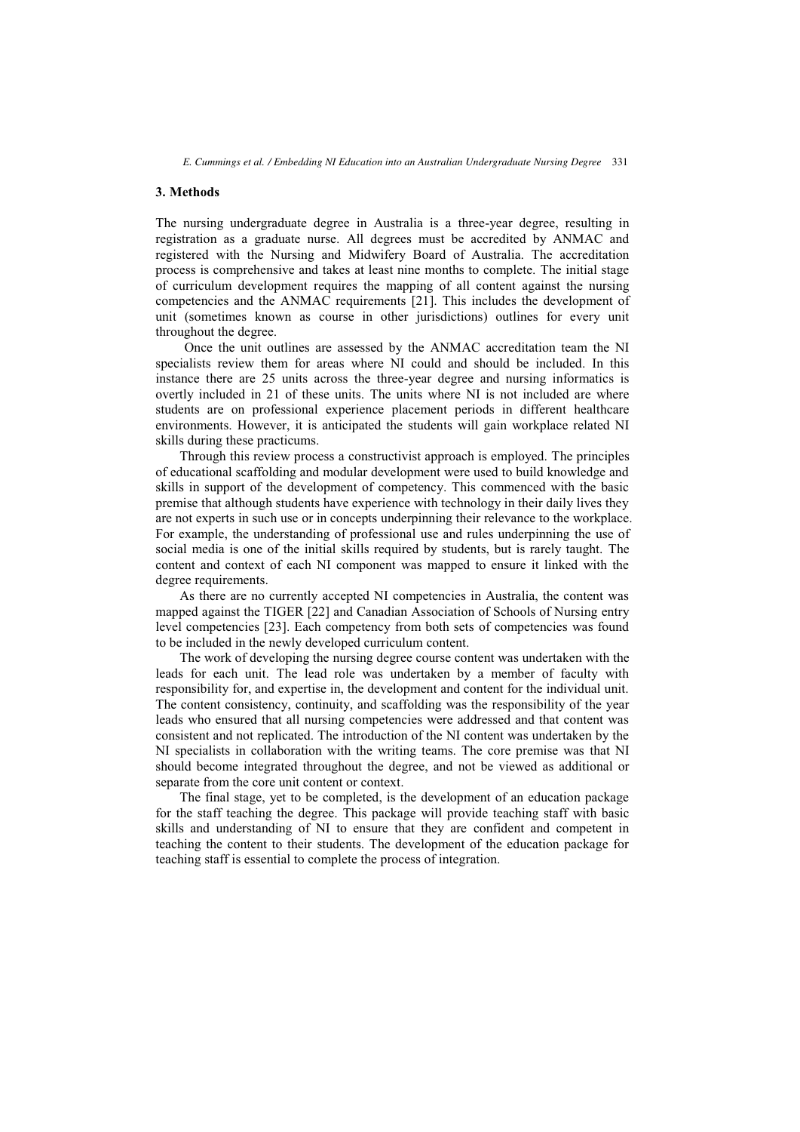## **3. Methods**

The nursing undergraduate degree in Australia is a three-year degree, resulting in registration as a graduate nurse. All degrees must be accredited by ANMAC and registered with the Nursing and Midwifery Board of Australia. The accreditation process is comprehensive and takes at least nine months to complete. The initial stage of curriculum development requires the mapping of all content against the nursing competencies and the ANMAC requirements [21]. This includes the development of unit (sometimes known as course in other jurisdictions) outlines for every unit throughout the degree.

Once the unit outlines are assessed by the ANMAC accreditation team the NI specialists review them for areas where NI could and should be included. In this instance there are 25 units across the three-year degree and nursing informatics is overtly included in 21 of these units. The units where NI is not included are where students are on professional experience placement periods in different healthcare environments. However, it is anticipated the students will gain workplace related NI skills during these practicums.

Through this review process a constructivist approach is employed. The principles of educational scaffolding and modular development were used to build knowledge and skills in support of the development of competency. This commenced with the basic premise that although students have experience with technology in their daily lives they are not experts in such use or in concepts underpinning their relevance to the workplace. For example, the understanding of professional use and rules underpinning the use of social media is one of the initial skills required by students, but is rarely taught. The content and context of each NI component was mapped to ensure it linked with the degree requirements.

As there are no currently accepted NI competencies in Australia, the content was mapped against the TIGER [22] and Canadian Association of Schools of Nursing entry level competencies [23]. Each competency from both sets of competencies was found to be included in the newly developed curriculum content.

The work of developing the nursing degree course content was undertaken with the leads for each unit. The lead role was undertaken by a member of faculty with responsibility for, and expertise in, the development and content for the individual unit. The content consistency, continuity, and scaffolding was the responsibility of the year leads who ensured that all nursing competencies were addressed and that content was consistent and not replicated. The introduction of the NI content was undertaken by the NI specialists in collaboration with the writing teams. The core premise was that NI should become integrated throughout the degree, and not be viewed as additional or separate from the core unit content or context.

The final stage, yet to be completed, is the development of an education package for the staff teaching the degree. This package will provide teaching staff with basic skills and understanding of NI to ensure that they are confident and competent in teaching the content to their students. The development of the education package for teaching staff is essential to complete the process of integration.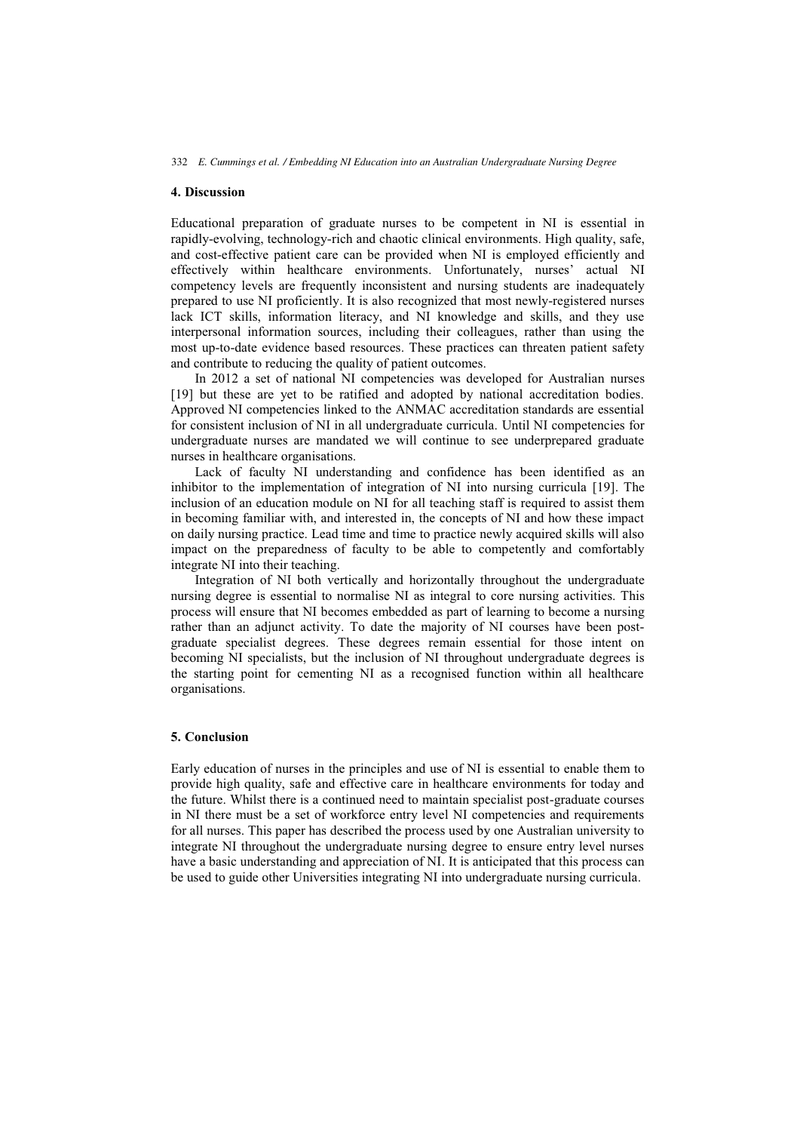# **4. Discussion**

Educational preparation of graduate nurses to be competent in NI is essential in rapidly-evolving, technology-rich and chaotic clinical environments. High quality, safe, and cost-effective patient care can be provided when NI is employed efficiently and effectively within healthcare environments. Unfortunately, nurses' actual NI competency levels are frequently inconsistent and nursing students are inadequately prepared to use NI proficiently. It is also recognized that most newly-registered nurses lack ICT skills, information literacy, and NI knowledge and skills, and they use interpersonal information sources, including their colleagues, rather than using the most up-to-date evidence based resources. These practices can threaten patient safety and contribute to reducing the quality of patient outcomes.

In 2012 a set of national NI competencies was developed for Australian nurses [19] but these are yet to be ratified and adopted by national accreditation bodies. Approved NI competencies linked to the ANMAC accreditation standards are essential for consistent inclusion of NI in all undergraduate curricula. Until NI competencies for undergraduate nurses are mandated we will continue to see underprepared graduate nurses in healthcare organisations.

Lack of faculty NI understanding and confidence has been identified as an inhibitor to the implementation of integration of NI into nursing curricula [19]. The inclusion of an education module on NI for all teaching staff is required to assist them in becoming familiar with, and interested in, the concepts of NI and how these impact on daily nursing practice. Lead time and time to practice newly acquired skills will also impact on the preparedness of faculty to be able to competently and comfortably integrate NI into their teaching.

Integration of NI both vertically and horizontally throughout the undergraduate nursing degree is essential to normalise NI as integral to core nursing activities. This process will ensure that NI becomes embedded as part of learning to become a nursing rather than an adjunct activity. To date the majority of NI courses have been postgraduate specialist degrees. These degrees remain essential for those intent on becoming NI specialists, but the inclusion of NI throughout undergraduate degrees is the starting point for cementing NI as a recognised function within all healthcare organisations.

## **5. Conclusion**

Early education of nurses in the principles and use of NI is essential to enable them to provide high quality, safe and effective care in healthcare environments for today and the future. Whilst there is a continued need to maintain specialist post-graduate courses in NI there must be a set of workforce entry level NI competencies and requirements for all nurses. This paper has described the process used by one Australian university to integrate NI throughout the undergraduate nursing degree to ensure entry level nurses have a basic understanding and appreciation of NI. It is anticipated that this process can be used to guide other Universities integrating NI into undergraduate nursing curricula.